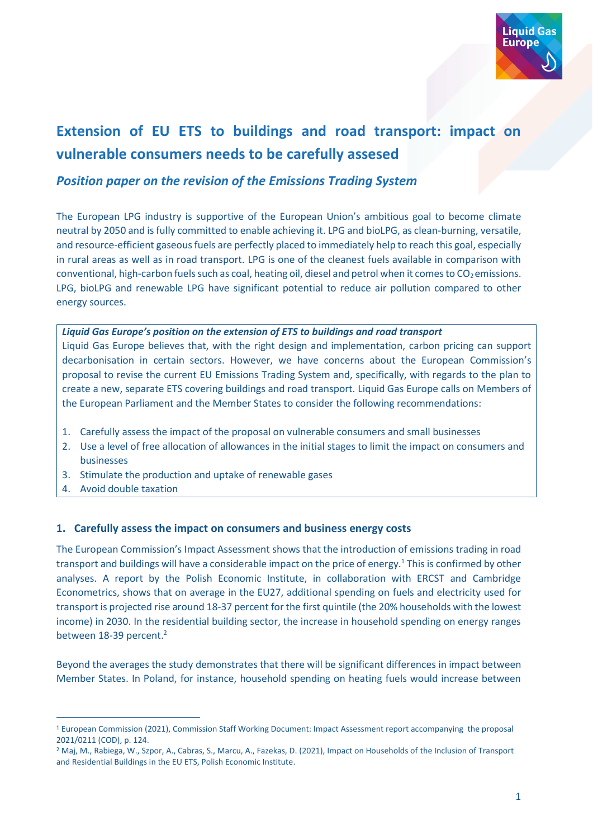

# **Extension of EU ETS to buildings and road transport: impact on vulnerable consumers needs to be carefully assesed**

# *Position paper on the revision of the Emissions Trading System*

The European LPG industry is supportive of the European Union's ambitious goal to become climate neutral by 2050 and is fully committed to enable achieving it. LPG and bioLPG, as clean-burning, versatile, and resource-efficient gaseous fuels are perfectly placed to immediately help to reach this goal, especially in rural areas as well as in road transport. LPG is one of the cleanest fuels available in comparison with conventional, high-carbon fuels such as coal, heating oil, diesel and petrol when it comes to  $CO<sub>2</sub>$  emissions. LPG, bioLPG and renewable LPG have significant potential to reduce air pollution compared to other energy sources.

#### *Liquid Gas Europe's position on the extension of ETS to buildings and road transport*

Liquid Gas Europe believes that, with the right design and implementation, carbon pricing can support decarbonisation in certain sectors. However, we have concerns about the European Commission's proposal to revise the current EU Emissions Trading System and, specifically, with regards to the plan to create a new, separate ETS covering buildings and road transport. Liquid Gas Europe calls on Members of the European Parliament and the Member States to consider the following recommendations:

- 1. Carefully assess the impact of the proposal on vulnerable consumers and small businesses
- 2. Use a level of free allocation of allowances in the initial stages to limit the impact on consumers and businesses
- 3. Stimulate the production and uptake of renewable gases
- 4. Avoid double taxation

## **1. Carefully assess the impact on consumers and business energy costs**

The European Commission's Impact Assessment shows that the introduction of emissions trading in road transport and buildings will have a considerable impact on the price of energy.<sup>1</sup> This is confirmed by other analyses. A report by the Polish Economic Institute, in collaboration with ERCST and Cambridge Econometrics, shows that on average in the EU27, additional spending on fuels and electricity used for transport is projected rise around 18-37 percent for the first quintile (the 20% households with the lowest income) in 2030. In the residential building sector, the increase in household spending on energy ranges between 18-39 percent. 2

Beyond the averages the study demonstrates that there will be significant differences in impact between Member States. In Poland, for instance, household spending on heating fuels would increase between

<sup>1</sup> European Commission (2021), Commission Staff Working Document: Impact Assessment report accompanying the proposal 2021/0211 (COD), p. 124.

<sup>2</sup> Maj, M., Rabiega, W., Szpor, A., Cabras, S., Marcu, A., Fazekas, D. (2021), Impact on Households of the Inclusion of Transport and Residential Buildings in the EU ETS, Polish Economic Institute.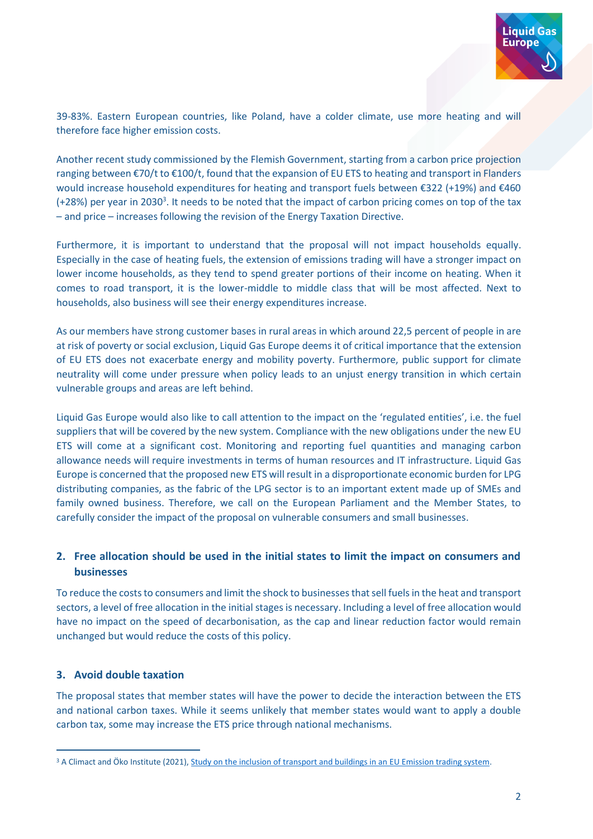

39-83%. Eastern European countries, like Poland, have a colder climate, use more heating and will therefore face higher emission costs.

Another recent study commissioned by the Flemish Government, starting from a carbon price projection ranging between €70/t to €100/t, found that the expansion of EU ETS to heating and transport in Flanders would increase household expenditures for heating and transport fuels between €322 (+19%) and €460  $(+28%)$  per year in 2030<sup>3</sup>. It needs to be noted that the impact of carbon pricing comes on top of the tax – and price – increases following the revision of the Energy Taxation Directive.

Furthermore, it is important to understand that the proposal will not impact households equally. Especially in the case of heating fuels, the extension of emissions trading will have a stronger impact on lower income households, as they tend to spend greater portions of their income on heating. When it comes to road transport, it is the lower-middle to middle class that will be most affected. Next to households, also business will see their energy expenditures increase.

As our members have strong customer bases in rural areas in which around 22,5 percent of people in are at risk of poverty or social exclusion, Liquid Gas Europe deems it of critical importance that the extension of EU ETS does not exacerbate energy and mobility poverty. Furthermore, public support for climate neutrality will come under pressure when policy leads to an unjust energy transition in which certain vulnerable groups and areas are left behind.

Liquid Gas Europe would also like to call attention to the impact on the 'regulated entities', i.e. the fuel suppliers that will be covered by the new system. Compliance with the new obligations under the new EU ETS will come at a significant cost. Monitoring and reporting fuel quantities and managing carbon allowance needs will require investments in terms of human resources and IT infrastructure. Liquid Gas Europe is concerned that the proposed new ETS will result in a disproportionate economic burden for LPG distributing companies, as the fabric of the LPG sector is to an important extent made up of SMEs and family owned business. Therefore, we call on the European Parliament and the Member States, to carefully consider the impact of the proposal on vulnerable consumers and small businesses.

## **2. Free allocation should be used in the initial states to limit the impact on consumers and businesses**

To reduce the costs to consumers and limit the shock to businesses that sell fuels in the heat and transport sectors, a level of free allocation in the initial stages is necessary. Including a level of free allocation would have no impact on the speed of decarbonisation, as the cap and linear reduction factor would remain unchanged but would reduce the costs of this policy.

## **3. Avoid double taxation**

The proposal states that member states will have the power to decide the interaction between the ETS and national carbon taxes. While it seems unlikely that member states would want to apply a double carbon tax, some may increase the ETS price through national mechanisms.

<sup>&</sup>lt;sup>3</sup> A Climact and Öko Institute (2021), [Study on the inclusion of transport and buildings in an EU Emission trading system.](https://energiesparen.be/sites/default/files/atoms/files/VEKA%20study%20ETS%20transport%20buildings_0.pdf)